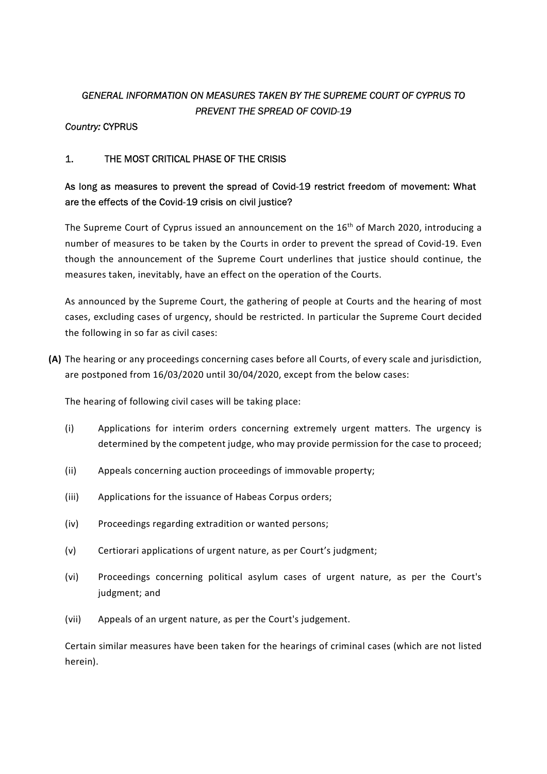# GENERAL INFORMATION ON MEASURES TAKEN BY THE SUPREME COURT OF CYPRUS TO PREVENT THE SPREAD OF COVID-19

### Country: CYPRUS

### 1. THE MOST CRITICAL PHASE OF THE CRISIS

## As long as measures to prevent the spread of Covid-19 restrict freedom of movement: What are the effects of the Covid-19 crisis on civil justice?

The Supreme Court of Cyprus issued an announcement on the 16<sup>th</sup> of March 2020, introducing a number of measures to be taken by the Courts in order to prevent the spread of Covid-19. Even though the announcement of the Supreme Court underlines that justice should continue, the measures taken, inevitably, have an effect on the operation of the Courts.

As announced by the Supreme Court, the gathering of people at Courts and the hearing of most cases, excluding cases of urgency, should be restricted. In particular the Supreme Court decided the following in so far as civil cases:

(A) The hearing or any proceedings concerning cases before all Courts, of every scale and jurisdiction, are postponed from 16/03/2020 until 30/04/2020, except from the below cases:

The hearing of following civil cases will be taking place:

- (i) Applications for interim orders concerning extremely urgent matters. The urgency is determined by the competent judge, who may provide permission for the case to proceed;
- (ii) Appeals concerning auction proceedings of immovable property;
- (iii) Applications for the issuance of Habeas Corpus orders;
- (iv) Proceedings regarding extradition or wanted persons;
- (v) Certiorari applications of urgent nature, as per Court's judgment;
- (vi) Proceedings concerning political asylum cases of urgent nature, as per the Court's judgment; and
- (vii) Appeals of an urgent nature, as per the Court's judgement.

Certain similar measures have been taken for the hearings of criminal cases (which are not listed herein).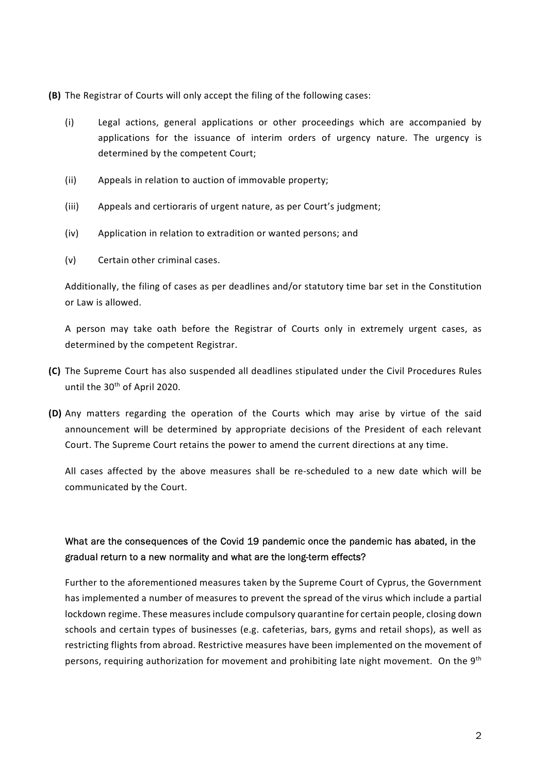- (B) The Registrar of Courts will only accept the filing of the following cases:
	- (i) Legal actions, general applications or other proceedings which are accompanied by applications for the issuance of interim orders of urgency nature. The urgency is determined by the competent Court;
	- (ii) Appeals in relation to auction of immovable property;
	- (iii) Appeals and certioraris of urgent nature, as per Court's judgment;
	- (iv) Application in relation to extradition or wanted persons; and
	- (v) Certain other criminal cases.

Additionally, the filing of cases as per deadlines and/or statutory time bar set in the Constitution or Law is allowed.

A person may take oath before the Registrar of Courts only in extremely urgent cases, as determined by the competent Registrar.

- (C) The Supreme Court has also suspended all deadlines stipulated under the Civil Procedures Rules until the 30<sup>th</sup> of April 2020.
- (D) Any matters regarding the operation of the Courts which may arise by virtue of the said announcement will be determined by appropriate decisions of the President of each relevant Court. The Supreme Court retains the power to amend the current directions at any time.

All cases affected by the above measures shall be re-scheduled to a new date which will be communicated by the Court.

## What are the consequences of the Covid 19 pandemic once the pandemic has abated, in the gradual return to a new normality and what are the long-term effects?

Further to the aforementioned measures taken by the Supreme Court of Cyprus, the Government has implemented a number of measures to prevent the spread of the virus which include a partial lockdown regime. These measures include compulsory quarantine for certain people, closing down schools and certain types of businesses (e.g. cafeterias, bars, gyms and retail shops), as well as restricting flights from abroad. Restrictive measures have been implemented on the movement of persons, requiring authorization for movement and prohibiting late night movement. On the 9<sup>th</sup>